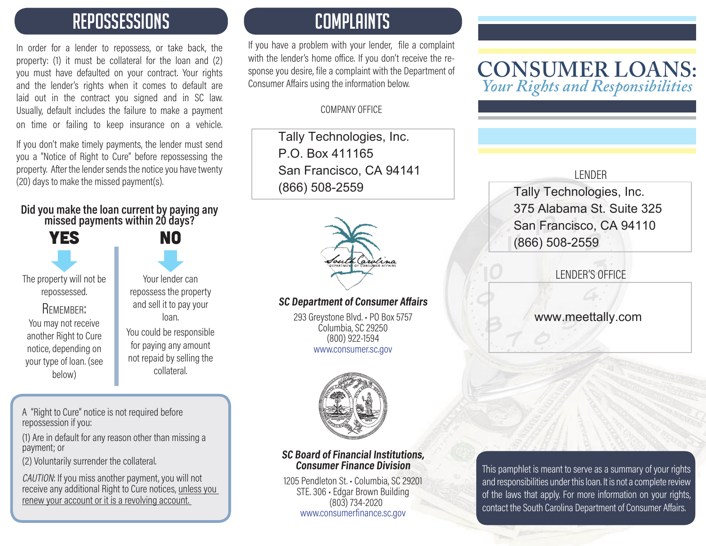## REPOSSESSIONS

In order for a lender to repossess, or take back, the property: (1) it must be collateral for the loan and (2) you must have defaulted on your contract. Your rights and the lender's rights when it comes to default are laid out in the contract you signed and in SC law. Usually, default includes the failure to make a payment on time or failing to keep insurance on a vehicle.

If you don't make timely payments, the lender must send you a "Notice of Right to Cure" before repossessing the property. After the lender sends the notice you have twenty (20) days to make the missed payment(s).

## **Did you make the loan current by paying any missed payments within 20 days?**

| <b>YES</b>                                                                                                                                                         |                                                  |
|--------------------------------------------------------------------------------------------------------------------------------------------------------------------|--------------------------------------------------|
| The property will not be<br>repossessed.<br>REMEMBER:<br>You may not receive<br>another Right to Cure<br>notice, depending on<br>your type of loan. (see<br>below) | reposs<br>and s<br>You coi<br>for pay<br>not rep |
|                                                                                                                                                                    |                                                  |

ur lender can sess the property sell it to pay your loan. uld be responsible iying any amount aid by selling the collateral.

**NO** 

A "Right to Cure" notice is not required before repossession if you:

(1) Are in default for any reason other than missing a payment; or

(2) Voluntarily surrender the collateral.

CAUTION: If you miss another payment, you will not receive any additional Right to Cure notices, unless you renew your account or it is a revolving account.

## COMPLAINTS

If you have a problem with your lender, file a complaint with the lender's home office. If you don't receive the response you desire, file a complaint with the Department of Consumer Affairs using the information below.

#### COMPANY OFFICE

Tally Technologies, Inc. P.O. Box 411165San Francisco, CA 94141 (866) 508-2559



#### **SC Department of Consumer Affairs**

293 Greystone Blvd. • PO Box 5757 Columbia, SC 29250 (800) 922-1594 www.consumer.sc.gov



#### **SC Board of Financial Institutions, Consumer Finance Division**

1205 Pendleton St. • Columbia, SC 29201 STE. 306 • Edgar Brown Building (803) 734-2020 www.consumerfinance.sc.gov

### **CONSUMER LOANS:** *Your Rights and Responsibilities*

#### LENDER

Tally Technologies, Inc. 375 Alabama St. Suite 325San Francisco, CA 94110 (866) 508-2559

LENDER'S OFFICE

www.meettally.com

This pamphlet is meant to serve as a summary of your rights and responsibilities under this loan. It is not a complete review of the laws that apply. For more information on your rights, contact the South Carolina Department of Consumer Affairs.